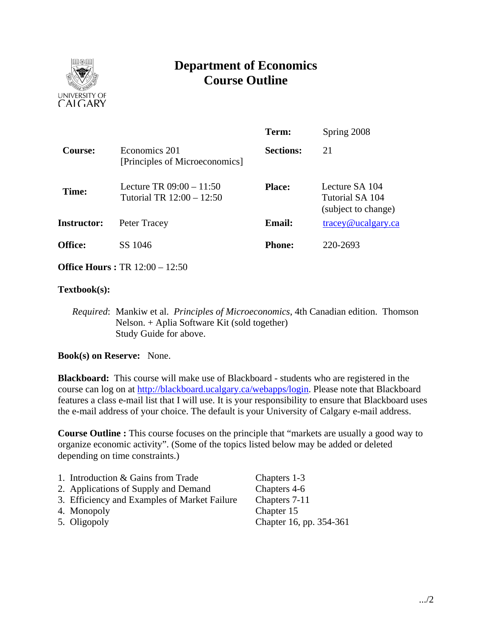

# **Department of Economics Course Outline**

|                    |                                                         | Term:            | Spring 2008                                              |
|--------------------|---------------------------------------------------------|------------------|----------------------------------------------------------|
| Course:            | Economics 201<br>[Principles of Microeconomics]         | <b>Sections:</b> | 21                                                       |
| Time:              | Lecture TR $09:00 - 11:50$<br>Tutorial TR 12:00 - 12:50 | <b>Place:</b>    | Lecture SA 104<br>Tutorial SA 104<br>(subject to change) |
| <b>Instructor:</b> | Peter Tracey                                            | <b>Email:</b>    | $trace$ y@ucalgary.ca                                    |
| Office:            | SS 1046                                                 | <b>Phone:</b>    | 220-2693                                                 |

**Office Hours :** TR 12:00 – 12:50

## **Textbook(s):**

*Required*: Mankiw et al. *Principles of Microeconomics*, 4th Canadian edition. Thomson Nelson. + Aplia Software Kit (sold together) Study Guide for above.

**Book(s) on Reserve:** None.

**Blackboard:** This course will make use of Blackboard - students who are registered in the course can log on at http://blackboard.ucalgary.ca/webapps/login. Please note that Blackboard features a class e-mail list that I will use. It is your responsibility to ensure that Blackboard uses the e-mail address of your choice. The default is your University of Calgary e-mail address.

**Course Outline :** This course focuses on the principle that "markets are usually a good way to organize economic activity". (Some of the topics listed below may be added or deleted depending on time constraints.)

| 1. Introduction & Gains from Trade           | Chapters 1-3            |
|----------------------------------------------|-------------------------|
| 2. Applications of Supply and Demand         | Chapters 4-6            |
| 3. Efficiency and Examples of Market Failure | Chapters 7-11           |
| 4. Monopoly                                  | Chapter 15              |
| 5. Oligopoly                                 | Chapter 16, pp. 354-361 |
|                                              |                         |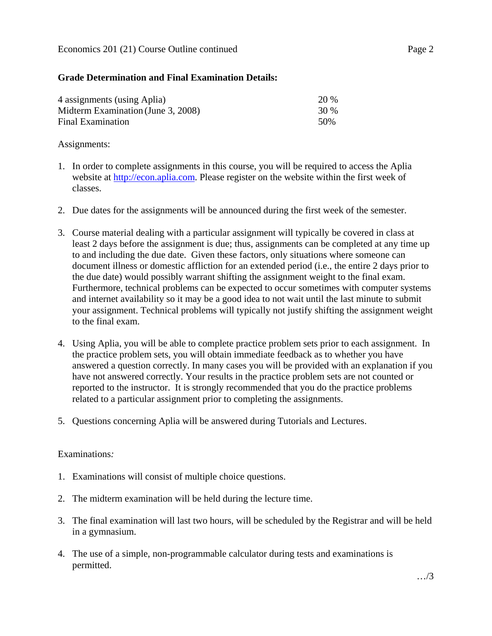## **Grade Determination and Final Examination Details:**

| 4 assignments (using Aplia)        | 20 % |
|------------------------------------|------|
| Midterm Examination (June 3, 2008) | 30 % |
| Final Examination                  | 50%  |

#### Assignments:

- 1. In order to complete assignments in this course, you will be required to access the Aplia website at http://econ.aplia.com. Please register on the website within the first week of classes.
- 2. Due dates for the assignments will be announced during the first week of the semester.
- 3. Course material dealing with a particular assignment will typically be covered in class at least 2 days before the assignment is due; thus, assignments can be completed at any time up to and including the due date. Given these factors, only situations where someone can document illness or domestic affliction for an extended period (i.e., the entire 2 days prior to the due date) would possibly warrant shifting the assignment weight to the final exam. Furthermore, technical problems can be expected to occur sometimes with computer systems and internet availability so it may be a good idea to not wait until the last minute to submit your assignment. Technical problems will typically not justify shifting the assignment weight to the final exam.
- 4. Using Aplia, you will be able to complete practice problem sets prior to each assignment. In the practice problem sets, you will obtain immediate feedback as to whether you have answered a question correctly. In many cases you will be provided with an explanation if you have not answered correctly. Your results in the practice problem sets are not counted or reported to the instructor. It is strongly recommended that you do the practice problems related to a particular assignment prior to completing the assignments.
- 5. Questions concerning Aplia will be answered during Tutorials and Lectures.

## Examinations*:*

- 1. Examinations will consist of multiple choice questions.
- 2. The midterm examination will be held during the lecture time.
- 3. The final examination will last two hours, will be scheduled by the Registrar and will be held in a gymnasium.
- 4. The use of a simple, non-programmable calculator during tests and examinations is permitted.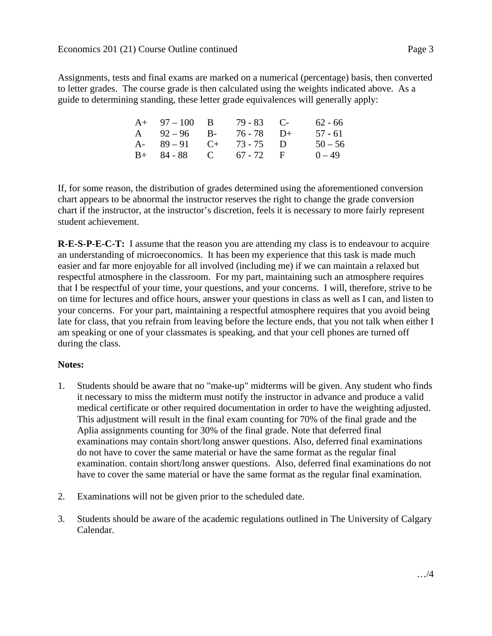Assignments, tests and final exams are marked on a numerical (percentage) basis, then converted to letter grades. The course grade is then calculated using the weights indicated above. As a guide to determining standing, these letter grade equivalences will generally apply:

| $A+ 97-100 B$           | $79 - 83$ C- | $62 - 66$ |
|-------------------------|--------------|-----------|
| A $92-96$ B-            | $76 - 78$ D+ | $57 - 61$ |
| A- $89-91$ C+ $73-75$ D |              | $50 - 56$ |
| $B+ 84-88$ C 67 - 72 F  |              | $0 - 49$  |

If, for some reason, the distribution of grades determined using the aforementioned conversion chart appears to be abnormal the instructor reserves the right to change the grade conversion chart if the instructor, at the instructor's discretion, feels it is necessary to more fairly represent student achievement.

**R-E-S-P-E-C-T:** I assume that the reason you are attending my class is to endeavour to acquire an understanding of microeconomics. It has been my experience that this task is made much easier and far more enjoyable for all involved (including me) if we can maintain a relaxed but respectful atmosphere in the classroom. For my part, maintaining such an atmosphere requires that I be respectful of your time, your questions, and your concerns. I will, therefore, strive to be on time for lectures and office hours, answer your questions in class as well as I can, and listen to your concerns. For your part, maintaining a respectful atmosphere requires that you avoid being late for class, that you refrain from leaving before the lecture ends, that you not talk when either I am speaking or one of your classmates is speaking, and that your cell phones are turned off during the class.

## **Notes:**

- 1. Students should be aware that no "make-up" midterms will be given. Any student who finds it necessary to miss the midterm must notify the instructor in advance and produce a valid medical certificate or other required documentation in order to have the weighting adjusted. This adjustment will result in the final exam counting for 70% of the final grade and the Aplia assignments counting for 30% of the final grade. Note that deferred final examinations may contain short/long answer questions. Also, deferred final examinations do not have to cover the same material or have the same format as the regular final examination. contain short/long answer questions. Also, deferred final examinations do not have to cover the same material or have the same format as the regular final examination.
- 2. Examinations will not be given prior to the scheduled date.
- 3. Students should be aware of the academic regulations outlined in The University of Calgary Calendar.